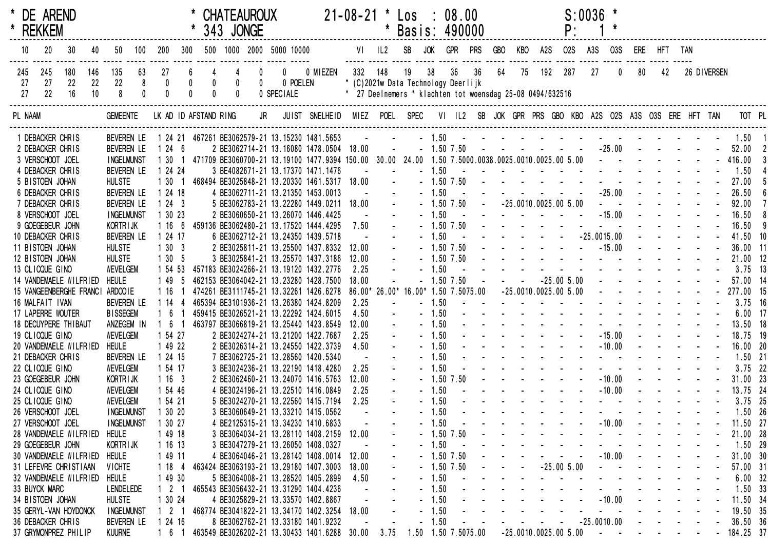| * DE AREND<br>* REKKEM               |                                 |           |                                        |                      |                                             |                 |                                      | <b>CHATEAUROUX</b><br>343 JONGE |                                         |                                                                                                                                 |            | 21-08-21 * Los : 08.00                                    |                                                                                     | * Basis: 490000 |         |                             |             |    |            | $S:0036$ *<br>P:                                                                                                                                                                                                               |     |                                   |                                 |    |             |                |     |
|--------------------------------------|---------------------------------|-----------|----------------------------------------|----------------------|---------------------------------------------|-----------------|--------------------------------------|---------------------------------|-----------------------------------------|---------------------------------------------------------------------------------------------------------------------------------|------------|-----------------------------------------------------------|-------------------------------------------------------------------------------------|-----------------|---------|-----------------------------|-------------|----|------------|--------------------------------------------------------------------------------------------------------------------------------------------------------------------------------------------------------------------------------|-----|-----------------------------------|---------------------------------|----|-------------|----------------|-----|
| 10<br>$20\,$                         | 30                              | 40        | 50                                     |                      | 100 200                                     |                 |                                      |                                 |                                         | 300 500 1000 2000 5000 10000                                                                                                    |            |                                                           |                                                                                     | VI IL2 SB JOK   |         |                             | GPR PRS GBO |    | KBO A2S    | <b>O2S</b>                                                                                                                                                                                                                     | A3S | <b>03S</b>                        | ERE HFT TAN                     |    |             |                |     |
| 245<br>245<br>27<br>27               | 180<br>22                       | 146<br>22 | 135<br>22                              | 63<br>8 <sup>8</sup> | 27                                          | $6\phantom{.0}$ | $\overline{4}$                       | 4<br>$\bm{0}$                   | $\mathbf{0}$<br>$\overline{\mathbf{0}}$ | 0 POELEN                                                                                                                        | 0 0 MIEZEN | 332 148<br>* (C)2021w Data Technology Deerlijk            |                                                                                     | 19              | 38      | 36 36                       |             | 64 | 75 192 287 |                                                                                                                                                                                                                                | 27  | $\mathbf 0$                       | 80                              | 42 | 26 DIVERSEN |                |     |
| 22<br>27                             | 16                              | 10        | 8 <sup>8</sup>                         | $\pmb{0}$            | $\begin{smallmatrix}0\0\0\end{smallmatrix}$ | $0\atop 0$      | $\begin{matrix} 0 \\ 0 \end{matrix}$ | $\overline{0}$                  |                                         | 0 SPECIALE                                                                                                                      |            | * 27 Deelnemers * klachten tot woensdag 25-08 0494/632516 |                                                                                     |                 |         |                             |             |    |            |                                                                                                                                                                                                                                |     |                                   |                                 |    |             |                |     |
| PL NAAM                              |                                 |           | <b>GEMEENTE</b>                        |                      |                                             |                 |                                      |                                 |                                         | LK AD ID AFSTAND RING JR JUIST SNELHEID MIEZ POEL SPEC VI IL2 SB JOK GPR PRS GBO KBO A2S O2S A3S O3S ERE HFT TAN                |            |                                                           |                                                                                     |                 |         |                             |             |    |            |                                                                                                                                                                                                                                |     |                                   |                                 |    |             | TOT PL         |     |
| 1 DEBACKER CHRIS                     |                                 |           |                                        |                      |                                             |                 |                                      |                                 |                                         | BEVEREN LE 1 24 21 467261 BE3062579-21 13.15230 1481.5653                                                                       |            |                                                           |                                                                                     | . 1.50 1.50 1   |         |                             |             |    |            |                                                                                                                                                                                                                                |     |                                   |                                 |    |             |                |     |
| 2 DEBACKER CHRIS                     |                                 |           | Beveren le                             |                      | 1246                                        |                 |                                      |                                 |                                         | 2 BE3062714-21 13.16080 1478.0504 18.00                                                                                         |            |                                                           | $\mathcal{L}(\mathcal{L})$ and $\mathcal{L}(\mathcal{L})$                           |                 |         |                             |             |    |            | $-1.507.50$ $      -25.00$ $   -$                                                                                                                                                                                              |     |                                   |                                 |    |             | 52.00 2        |     |
| 3 VERSCHOOT JOEL                     |                                 |           | <b>INGELMUNST</b>                      |                      |                                             |                 |                                      |                                 |                                         | 1 30 1 471709 BE3060700-21 13.19100 1477.9394 150.00 30.00 24.00 1.50 7.5000.0038.0025.0010.0025.00 5.00 - - - - - - - 416.00 3 |            |                                                           |                                                                                     |                 |         |                             |             |    |            |                                                                                                                                                                                                                                |     |                                   |                                 |    |             |                |     |
| 4 DEBACKER CHRIS                     |                                 |           | BEVEREN LE                             |                      | 1 24 24                                     |                 |                                      |                                 |                                         | 3 BE4082671-21 13.17370 1471.1476                                                                                               |            |                                                           |                                                                                     |                 | $-1.50$ |                             |             |    |            | $\mathcal{A}$ . The second contribution of the second contribution of $\mathcal{A}$<br>the contract of the contract of the contract of                                                                                         |     |                                   |                                 |    |             | 1.50           |     |
| 5 BISTOEN JOHAN                      |                                 |           | <b>HULSTE</b>                          |                      | 1301                                        |                 |                                      |                                 |                                         | 468494 BE3025848-21 13.20330 1461.5317 18.00 -                                                                                  |            |                                                           |                                                                                     |                 |         | $-1.50$ $7.50$              |             |    |            |                                                                                                                                                                                                                                |     |                                   |                                 |    |             | 27.00          | - 5 |
| 6 DEBACKER CHRIS                     |                                 |           | <b>BEVEREN LE</b>                      |                      | 1 24 18                                     |                 |                                      |                                 |                                         | 4 BE3062711-21 13.21350 1453.0013                                                                                               |            |                                                           |                                                                                     |                 | $-1.50$ | $\sim 10$<br>$-1.50$ $7.50$ |             |    |            | $-25.0010.0025.005.00$                                                                                                                                                                                                         |     |                                   | and a state of the state of the |    |             | 26.50          |     |
| 7 DEBACKER CHRIS<br>8 VERSCHOOT JOEL |                                 |           | <b>BEVEREN LE</b><br><b>INGELMUNST</b> |                      | 1243<br>1 30 23                             |                 |                                      |                                 |                                         | 5 BE3062783-21 13.22280 1449.0211 18.00<br>2 BE3060650-21 13.26070 1446.4425                                                    |            |                                                           | <b>Contract Contract</b>                                                            |                 | $-1.50$ |                             |             |    |            |                                                                                                                                                                                                                                |     |                                   |                                 |    |             | 92.00<br>16.50 |     |
| 9 GOEGEBEUR JOHN                     |                                 |           | KORTR I JK                             |                      | 1166                                        |                 |                                      |                                 |                                         | 459136 BE3062480-21 13.17520 1444.4295                                                                                          |            | $7.50 -$                                                  |                                                                                     |                 |         | $-1.50$ $7.50$              |             |    |            | the contract of the contract of the contract of                                                                                                                                                                                |     |                                   |                                 |    |             | 16.50          |     |
| 10 DEBACKER CHRIS                    |                                 |           | BEVEREN LE                             |                      | 1 24 17                                     |                 |                                      |                                 |                                         | 6 BE3062712-21 13.24350 1439.5718                                                                                               |            |                                                           | $\mathcal{L}^{\mathcal{L}}(\mathbf{z})$ and $\mathcal{L}^{\mathcal{L}}(\mathbf{z})$ |                 | $-1.50$ |                             |             |    |            |                                                                                                                                                                                                                                |     |                                   |                                 |    |             | 41.50 10       |     |
| 11 BISTOEN JOHAN                     |                                 |           | <b>HULSTE</b>                          |                      | 1303                                        |                 |                                      |                                 |                                         | 2 BE3025811-21 13.25500 1437.8332                                                                                               |            | 12.00                                                     |                                                                                     |                 |         | $-1.50$ 7.50                |             |    |            |                                                                                                                                                                                                                                |     |                                   |                                 |    |             | 36.00 11       |     |
| 12 BISTOEN JOHAN                     |                                 |           | <b>HULSTE</b>                          |                      | 1305                                        |                 |                                      |                                 |                                         | 3 BE3025841-21 13.25570 1437.3186                                                                                               |            | 12.00                                                     |                                                                                     |                 |         | $-1.50$ 7.50                |             |    |            | the contract of the contract of the contract of the contract of the contract of the contract of the contract of                                                                                                                |     |                                   |                                 |    |             | 21.00 12       |     |
| 13 CLICQUE GINO                      |                                 |           | <b>WEVELGEM</b>                        |                      | 1 54 53                                     |                 |                                      |                                 |                                         | 457183 BE3024266-21 13.19120 1432.2776                                                                                          |            | 2.25                                                      |                                                                                     |                 | $-1.50$ |                             |             |    |            | and the second contract of the second                                                                                                                                                                                          |     |                                   |                                 |    |             | $3.75$ 13      |     |
|                                      | 14 VANDEMAELE WILFRIED          |           | <b>HEULE</b>                           |                      | 1 49 5                                      |                 |                                      |                                 |                                         | 462153 BE3064042-21 13.23280 1428.7500                                                                                          |            | 18.00                                                     |                                                                                     |                 |         | $-1.50$ $7.50$              |             |    |            | $-25.005.00$ - - - - - - - -                                                                                                                                                                                                   |     |                                   |                                 |    |             | 57.00 14       |     |
|                                      | 15 VANGEENBERGHE FRANCI ARDOOIE |           |                                        |                      | 116                                         |                 |                                      |                                 |                                         | 474261 BE3111745-21 13.32261 1426.6278                                                                                          |            |                                                           |                                                                                     |                 |         |                             |             |    |            |                                                                                                                                                                                                                                |     |                                   |                                 |    |             |                |     |
| 16 MALFAIT IVAN                      |                                 |           | <b>BEVEREN LE</b>                      |                      | 1144                                        |                 |                                      |                                 |                                         | 465394 BE3101936-21 13.26380 1424.8209                                                                                          |            | 2.25                                                      |                                                                                     |                 | $-1.50$ |                             |             |    |            | the second contract of the second contract of the                                                                                                                                                                              |     |                                   |                                 |    |             | $3.75$ 16      |     |
| 17 LAPERRE WOUTER                    |                                 |           | <b>BISSEGEM</b>                        |                      |                                             |                 |                                      |                                 |                                         | 459415 BE3026521-21 13.22292 1424.6015                                                                                          |            | 4.50                                                      |                                                                                     |                 | $-1.50$ |                             |             |    |            | design and a state of the state of the state                                                                                                                                                                                   |     |                                   |                                 |    |             | $6.00$ 17      |     |
|                                      | 18 DECUYPERE THIBAUT            |           | ANZEGEM IN                             |                      | $1\quad 6\quad 1$                           |                 |                                      |                                 |                                         | 463797 BE3066819-21 13.25440 1423.8549                                                                                          |            | 12.00                                                     |                                                                                     |                 | $-1.50$ |                             |             |    |            | and the second contract of the second contract of the second second contract of the second second second second second second second second second second second second second second second second second second second secon |     |                                   |                                 |    |             | 13.50 18       |     |
| 19 CLICQUE GINO                      |                                 |           | <b>WEVELGEM</b>                        |                      | 1 54 27                                     |                 |                                      |                                 |                                         | 2 BE3024274-21 13.21200 1422.7687                                                                                               |            | 2.25                                                      |                                                                                     |                 | $-1.50$ |                             |             |    |            |                                                                                                                                                                                                                                |     |                                   |                                 |    |             | 18.75 19       |     |
|                                      | 20 VANDEMAELE WILFRIED          |           | <b>HEULE</b>                           |                      | 1 49 22                                     |                 |                                      |                                 |                                         | 2 BE3026314-21 13.24550 1422.3739                                                                                               |            | 4.50                                                      |                                                                                     |                 | $-1.50$ |                             |             |    |            | the contract of the contract of                                                                                                                                                                                                |     |                                   | $-10.00$ $    -$                |    |             | 16.00 20       |     |
| 21 DEBACKER CHRIS                    |                                 |           | BEVEREN LE                             |                      | 1 24 15                                     |                 |                                      |                                 |                                         | 7 BE3062725-21 13.28560 1420.5340                                                                                               |            |                                                           |                                                                                     |                 | $-1.50$ |                             |             |    |            | and the series of the series of the series of                                                                                                                                                                                  |     |                                   |                                 |    |             | $1.50$ 21      |     |
| 22 CLICQUE GINO                      |                                 |           | WEVELGEM                               |                      | 1 54 17                                     |                 |                                      |                                 |                                         | 3 BE3024236-21 13.22190 1418.4280                                                                                               |            | 2.25                                                      |                                                                                     |                 | $-1.50$ |                             |             |    |            | and the contract of the contract of the contract of the contract of the contract of the contract of the contract of the contract of the contract of the contract of the contract of the contract of the contract of the contra |     |                                   |                                 |    |             | $3.75$ 22      |     |
| 23 GOEGEBEUR JOHN                    |                                 |           | KORTRIJK                               |                      | 1163                                        |                 |                                      |                                 |                                         | 2 BE3062460-21 13.24070 1416.5763                                                                                               |            | 12.00                                                     |                                                                                     |                 |         | $-1.50$ 7.50                |             |    |            |                                                                                                                                                                                                                                |     |                                   |                                 |    |             | 31.00 23       |     |
| 24 CLICQUE GINO                      |                                 |           | <b>WEVELGEM</b>                        |                      | 1 54 46                                     |                 |                                      |                                 |                                         | 4 BE3024196-21 13.22510 1416.0849                                                                                               |            | 2.25                                                      |                                                                                     |                 | $-1.50$ |                             |             |    |            |                                                                                                                                                                                                                                |     |                                   |                                 |    |             | 13.75 24       |     |
| 25 CLICQUE GINO                      |                                 |           | <b>WEVELGEM</b>                        |                      | 1 54 21                                     |                 |                                      |                                 |                                         | 5 BE3024270-21 13.22560 1415.7194                                                                                               |            | 2.25                                                      |                                                                                     |                 | $-1.50$ |                             |             |    |            | the second contract of the second contract of the                                                                                                                                                                              |     |                                   |                                 |    |             | $3.75$ 25      |     |
| 26 VERSCHOOT JOEL                    |                                 |           | <b>INGELMUNST</b>                      |                      | 1 30 20                                     |                 |                                      |                                 |                                         | 3 BE3060649-21 13.33210 1415.0562                                                                                               |            |                                                           |                                                                                     |                 | $-1.50$ |                             |             |    |            | and the state of the state of the state of the state of the state of the state of the state of the state of the                                                                                                                |     |                                   |                                 |    |             | $1.50$ 26      |     |
| 27 VERSCHOOT JOEL                    |                                 |           | <b>INGELMUNST</b>                      |                      | 1 30 27                                     |                 |                                      |                                 |                                         | 4 BE2125315-21 13.34230 1410.6833                                                                                               |            |                                                           |                                                                                     |                 | $-1.50$ |                             |             |    |            |                                                                                                                                                                                                                                |     | $-10.00$                          |                                 |    |             | 11.50 27       |     |
|                                      | 28 VANDEMAELE WILFRIED          |           | <b>HEULE</b>                           |                      | 1 49 18                                     |                 |                                      |                                 |                                         | 3 BE3064034-21 13.28110 1408.2159                                                                                               |            | 12.00                                                     |                                                                                     |                 |         | $-1.50$ 7.50                |             |    |            |                                                                                                                                                                                                                                |     |                                   |                                 |    |             | 21.00 28       |     |
| 29 GOEGEBEUR JOHN                    |                                 |           | KORTR I JK                             |                      | 1 16 13                                     |                 |                                      |                                 |                                         | 3 BE3047279-21 13.26050 1408.0327                                                                                               |            |                                                           |                                                                                     |                 | $-1.50$ |                             |             |    |            |                                                                                                                                                                                                                                |     |                                   |                                 |    |             | $1.50$ 29      |     |
|                                      | 30 VANDEMAELE WILFRIED          |           | <b>HEULE</b>                           |                      | 1 49 11                                     |                 |                                      |                                 |                                         | 4 BE3064046-21 13.28140 1408.0014                                                                                               |            | 12.00                                                     |                                                                                     |                 |         | $-1.50$ 7.50                |             |    |            |                                                                                                                                                                                                                                |     | $-10.00$                          |                                 |    |             | 31.00 30       |     |
|                                      | 31 LEFEVRE CHRISTIAAN           |           | <b>VICHTE</b>                          |                      | 1 18 4                                      |                 |                                      |                                 |                                         | 463424 BE3063193-21 13.29180 1407.3003                                                                                          |            | 18.00                                                     |                                                                                     |                 |         | $-1.50$ 7.50                |             |    |            | $-25.005.00$                                                                                                                                                                                                                   |     |                                   |                                 |    |             | 57.00 31       |     |
|                                      | 32 VANDEMAELE WILFRIED          |           | HEULE                                  |                      | 1 49 30                                     |                 |                                      |                                 |                                         | 5 BE3064008-21 13.28520 1405.2899                                                                                               |            | 4.50                                                      |                                                                                     |                 | $-1.50$ |                             |             |    |            |                                                                                                                                                                                                                                |     |                                   |                                 |    |             | 6.0032         |     |
| 33 BUYCK MARC                        |                                 |           | <b>LENDELEDE</b>                       |                      | $\begin{array}{ccc} \end{array}$ 2 1        |                 |                                      |                                 |                                         | 465543 BE3056432-21 13.31290 1404.4236                                                                                          |            |                                                           |                                                                                     |                 | $-1.50$ |                             |             |    |            |                                                                                                                                                                                                                                |     |                                   |                                 |    |             | $1.50$ 33      |     |
| 34 BISTOEN JOHAN                     |                                 |           | <b>HULSTE</b>                          |                      | 1 30 24                                     |                 |                                      |                                 |                                         | 4 BE3025829-21 13.33570 1402.8867                                                                                               |            |                                                           |                                                                                     |                 | 1.50    |                             |             |    |            |                                                                                                                                                                                                                                |     | $-10.00$                          |                                 |    |             | 11.50 34       |     |
|                                      | 35 GERYL-VAN HOYDONCK           |           | <b>INGELMUNST</b>                      |                      | $\begin{array}{ccc} \end{array}$ 2 1        |                 |                                      |                                 |                                         | 468774 BE3041822-21 13.34170 1402.3254                                                                                          |            | 18.00                                                     |                                                                                     |                 | 1.50    |                             |             |    |            |                                                                                                                                                                                                                                |     |                                   |                                 |    |             | 19.50 35       |     |
| 36 DEBACKER CHRIS                    |                                 |           | <b>BEVEREN LE</b>                      |                      | 1 24 16                                     |                 |                                      |                                 |                                         | 8 BE3062762-21 13.33180 1401.9232                                                                                               |            |                                                           |                                                                                     |                 | 1.50    |                             |             |    |            |                                                                                                                                                                                                                                |     | $-25.0010.00$                     |                                 |    |             | 36.50 36       |     |
|                                      | 37 GRYMONPREZ PHILIP            |           | <b>KUURNE</b>                          |                      | 61                                          |                 |                                      |                                 |                                         | 463549 BE3026202-21 13.30433 1401.6288 30.00                                                                                    |            |                                                           | 3.75                                                                                |                 |         | 1.50 1.50 7.5075.00         |             |    |            | $-25.0010.0025.005.00$                                                                                                                                                                                                         |     | $\sim 10^{-1}$ and $\sim 10^{-1}$ |                                 |    |             | $-184.25$ 37   |     |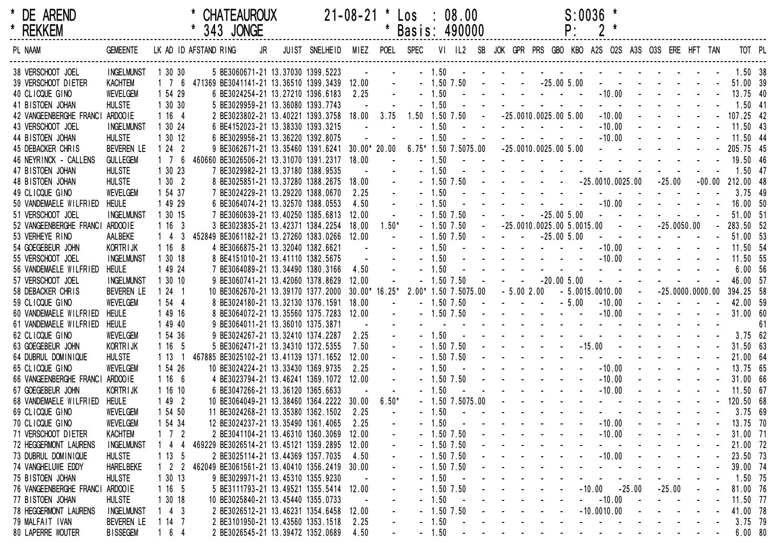| * DE AREND<br>* REKKEM          |                   |                     | <b>CHATEAUROUX</b><br>* 343 JONGE                    | 21-08-21 * Los : 08.00        |                         |            | * Basis: 490000 |                |                                |                                                               |                   | P:                | $S:0036$ *           |                                 |                |                                   |          |                         |                                   |    |
|---------------------------------|-------------------|---------------------|------------------------------------------------------|-------------------------------|-------------------------|------------|-----------------|----------------|--------------------------------|---------------------------------------------------------------|-------------------|-------------------|----------------------|---------------------------------|----------------|-----------------------------------|----------|-------------------------|-----------------------------------|----|
| PL NAAM                         | <b>GEMEENTE</b>   |                     | LK AD ID AFSTAND RING<br>JR                          | JUIST SNELHEID MIEZ POEL SPEC |                         |            |                 | VI IL2         |                                | SB JOK GPR PRS GBO KBO A2S O2S A3S O3S ERE HFT TAN            |                   |                   |                      |                                 |                |                                   |          |                         | TOT PL                            |    |
| 38 VERSCHOOT JOEL               | <b>INGELMUNST</b> | 1 30 30             | 5 BE3060671-21 13.37030 1399.5223                    |                               |                         |            |                 | $-1.50 -$      |                                |                                                               |                   |                   |                      |                                 |                |                                   |          |                         | 1.50 38                           |    |
| 39 VERSCHOOT DIETER             | <b>KACHTEM</b>    |                     | 1 7 6 471369 BE3041141-21 13.36510 1399.3439 12.00 - |                               |                         |            |                 |                |                                | $-1.50$ 7.50 $  -25.00$ 5.00                                  |                   |                   |                      |                                 |                |                                   |          |                         | $        51.00$ 39                |    |
| 40 CLICQUE GINO                 | WEVELGEM          | 1 54 29             | 6 BE3024254-21 13.27210 1396.6183                    |                               | 2.25                    |            |                 |                |                                | $-1.50$ $       -10.00$ $      13.75$ 40                      |                   |                   |                      |                                 |                |                                   |          |                         |                                   |    |
| 41 BISTOEN JOHAN                | <b>HULSTE</b>     | 1 30 30             | 5 BE3029959-21 13.36080 1393.7743                    |                               |                         |            |                 | $-1.50$        |                                | and the state of the state of                                 |                   |                   |                      |                                 |                | and the second contract of the    |          |                         | $1.50$ 41                         |    |
| 42 VANGEENBERGHE FRANCI         | ARDOO1E           | 1164                | 2 BE3023802-21 13.40221 1393.3758 18.00 3.75         |                               |                         |            |                 |                |                                | $1.50$ $1.50$ $7.50$ $ -25.0010.0025.00$ $5.00$               |                   |                   |                      | $-10.00$                        |                |                                   |          |                         | $    -$ 107.25 42                 |    |
| 43 VERSCHOOT JOEL               | <b>INGELMUNST</b> | 1 30 24             | 6 BE4152023-21 13.38330 1393.3215                    |                               | $\sim$                  |            |                 | $-1.50$        |                                | المتاريخ والمتاريخ والمتاريخ                                  |                   |                   |                      | $-10.00$                        |                |                                   |          |                         | $-11.50$ 43                       |    |
| 44 BISTOEN JOHAN                | <b>HULSTE</b>     | 1 30 12             | 6 BE3029956-21 13.36220 1392.8075                    |                               |                         |            |                 | $-1.50$        |                                |                                                               |                   |                   |                      |                                 |                |                                   |          |                         | 11.50 44                          |    |
| 45 DEBACKER CHRIS               | BEVEREN LE        | 1242                | 9 BE3062671-21 13.35460 1391.6241 30.00* 20.00       |                               |                         |            |                 |                |                                | $6.75*$ 1.50 7.5075.00 -25.0010.0025.00 5.00                  |                   |                   |                      |                                 |                |                                   |          |                         | - - - - - - - - 205.75 45         |    |
| 46 NEYRINCK - CALLENS           | <b>GULLEGEM</b>   | $1 \quad 7 \quad 6$ | 460660 BE3026506-21 13.31070 1391.2317 18.00         |                               |                         | $\sim 100$ |                 | $-1.50$        |                                | . 19.50 46                                                    |                   |                   |                      |                                 |                |                                   |          |                         |                                   |    |
| 47 BISTOEN JOHAN                | <b>HULSTE</b>     | 1 30 23             | 7 BE3029982-21 13.37180 1388.9535                    |                               |                         |            |                 | $-1.50$        |                                | the contract of the contract of the contract of               |                   |                   |                      |                                 |                |                                   |          |                         | $1.50$ 47                         |    |
| 48 BISTOEN JOHAN                | <b>HULSTE</b>     | 1302                | 8 BE3025851-21 13.37280 1388.2675 18.00              |                               |                         |            |                 | $-1.50$ 7.50   |                                |                                                               |                   |                   |                      |                                 |                |                                   |          |                         | $-25.00 -00.00 212.00 48$         |    |
| 49 CLICQUE GINO                 | <b>WEVELGEM</b>   | 1 54 37             | 7 BE3024229-21 13.29220 1388.0670                    |                               | 2.25                    |            |                 | $-1.50$        |                                | . 3.75 49                                                     |                   |                   |                      |                                 |                |                                   |          |                         |                                   |    |
| 50 VANDEMAELE WILFRIED          | HEULE             | 1 49 29             | 6 BE3064074-21 13.32570 1388.0553                    |                               | 4.50                    |            |                 | $-1.50$        |                                |                                                               |                   |                   |                      |                                 |                |                                   |          |                         | $-10.00$ $    -$ 16.00 50         |    |
| 51 VERSCHOOT JOEL               | <b>INGELMUNST</b> | 1 30 15             | 7 BE3060639-21 13.40250 1385.6813                    |                               | 12.00                   | $\sim 100$ |                 | $-1.50$ $7.50$ |                                |                                                               |                   | $-25.005.00$      | $\sim$               |                                 |                |                                   |          |                         | $- - - - 51.0051$                 |    |
| 52 VANGEENBERGHE FRANCI         | ARDOO1E           | 1163                | 3 BE3023835-21 13.42371 1384.2254                    |                               | 18.00                   | $1.50*$    |                 |                |                                | $-1.50$ $7.50$ $-25.0010.0025.00$ $5.0015.00$                 |                   |                   |                      |                                 |                | $    25.0050.00$                  |          |                         | $-283.5052$                       |    |
| 53 VERHEYE RINO                 | AALBEKE           | $1\quad 4$<br>- 3   | 452849 BE3061182-21 13.27260 1383.0266 12.00         |                               |                         | $\sim 100$ |                 | $-1.50$ $7.50$ |                                | $    -25.00$ $5.00$                                           |                   |                   |                      | $\sim 10^{-1}$ , $\sim 10^{-1}$ |                |                                   |          |                         | $    -$ 51.00 53                  |    |
| 54 GOEGEBEUR JOHN               | <b>KORTRIJK</b>   | 1168                | 4 BE3066875-21 13.32040 1382.6621                    |                               | $\sim 100$ km s $^{-1}$ |            |                 |                |                                | - 1.50 - - - - - - - - - -10.00 - - - - - - 11.50 54          |                   |                   |                      |                                 |                |                                   |          |                         |                                   |    |
| 55 VERSCHOOT JOEL               | <b>INGELMUNST</b> | 1 30 18             | 8 BE4151010-21 13.41110 1382.5675                    |                               | $\sim 100$              |            |                 | $-1.50$        |                                |                                                               |                   |                   |                      |                                 |                |                                   |          |                         | 11.50 55                          |    |
| 56 VANDEMAELE WILFRIED          | <b>HEULE</b>      | 1 49 24             | 7 BE3064089-21 13.34490 1380.3166                    |                               | 4.50                    |            |                 | $-1.50$        |                                | and the state of the state                                    |                   |                   |                      |                                 |                | and the state of the state of the |          |                         | $6.00\quad 56$                    |    |
| 57 VERSCHOOT JOEL               | <b>INGELMUNST</b> | 1 30 10             | 9 BE3060741-21 13.42060 1378.8629                    |                               | 12.00                   |            |                 | $-1.50$ $7.50$ |                                | $- - -20.005.00$                                              |                   |                   |                      |                                 |                | and the second contract of the    |          |                         | 46.00 57                          |    |
| 58 DEBACKER CHRIS               | <b>BEVEREN LE</b> | $124$ 1             | 10 BE3062670-21 13.39170 1377.2000                   |                               | $30.00*16.25*$          |            |                 |                | 2.00* 1.50 7.5075.00           | $-5.002.00$                                                   |                   | $-5.0015.0010.00$ |                      |                                 | $\sim 10^{-1}$ |                                   |          |                         | $-25.0000.0000.00$ 394.25 58      |    |
| 59 CLICQUE GINO                 | <b>WEVELGEM</b>   | 1 54 4              | 8 BE3024180-21 13.32130 1376.1591 18.00              |                               |                         |            |                 | $-1.50$ $7.50$ |                                | $    -$ 5.00                                                  |                   |                   |                      | $-10.00$                        |                |                                   |          |                         | $    -$ 42.00 59                  |    |
| 60 VANDEMAELE WILFRIED          | <b>HEULE</b>      | 1 49 16             | 8 BE3064072-21 13.35560 1375.7283 12.00              |                               |                         |            |                 |                |                                |                                                               |                   |                   |                      |                                 |                |                                   |          |                         |                                   |    |
| 61 VANDEMAELE WILFRIED          | HEULE             | 1 49 40             | 9 BE3064011-21 13.36010 1375.3871                    |                               | $\sim 10$               |            |                 |                |                                | and a series of the series of the series of the series of the |                   |                   |                      |                                 |                |                                   |          |                         |                                   | 61 |
| 62 CLICQUE GINO                 | <b>WEVELGEM</b>   | 1 54 36             | 9 BE3024267-21 13.32410 1374.2287                    |                               | 2.25                    |            |                 | $-1.50 -$      |                                | <u>.</u> 3.75 62                                              |                   |                   |                      |                                 |                |                                   |          |                         |                                   |    |
| 63 GOEGEBEUR JOHN               | <b>KORTRIJK</b>   | 1 16 5              | 5 BE3062471-21 13.34310 1372.5355                    |                               | 7.50                    |            |                 | $-1.50$ 7.50   |                                |                                                               |                   |                   |                      |                                 |                |                                   |          |                         | - - - -15.00 - - - - - - 31.50 63 |    |
| 64 DUBRUL DOMINIQUE             | <b>HULSTE</b>     | 113                 | 467885 BE3025102-21 13.41139 1371.1652               |                               | 12.00                   |            |                 | $-1.50$ 7.50   |                                |                                                               |                   |                   |                      |                                 |                |                                   |          |                         | - - - - - - - - - 21.00 64        |    |
| 65 CLICQUE GINO                 | <b>WEVELGEM</b>   | 1 54 26             | 10 BE3024224-21 13.33430 1369.9735                   |                               | 2.25                    |            |                 | $-1.50$        |                                | $       10.00$                                                |                   |                   |                      |                                 |                |                                   |          |                         | $    -$ 13.75 65                  |    |
| 66 VANGEENBERGHE FRANCI ARDOOIE |                   | 1166                | 4 BE3023794-21 13.46241 1369.1072 12.00              |                               |                         |            |                 | $-1.50$ 7.50   |                                | and the state of the state of the                             |                   |                   |                      | $-10.00$                        |                |                                   |          |                         | 31.00 66                          |    |
| 67 GOEGEBEUR JOHN               | <b>KORTRIJK</b>   | 1 16 10             | 6 BE3047266-21 13.36120 1365.6633                    |                               |                         |            |                 | $-1.50$        |                                |                                                               | $     10.00$ $ -$ |                   |                      |                                 |                |                                   |          |                         | $-$ 11.50 67                      |    |
| 68 VANDEMAELE WILFRIED HEULE    |                   | 1492                | 10 BE3064049-21 13.38460 1364.2222 30.00             |                               |                         | $6.50*$    |                 |                |                                | - 1.50 7.5075.00 - - - - - - - - - - - - - 120.50 68          |                   |                   |                      |                                 |                |                                   |          |                         |                                   |    |
| 69 CLICQUE GINO                 | <b>WEVELGEM</b>   | 1 54 50             | 11 BE3024268-21 13.35380 1362.1502                   |                               | 2.25                    |            |                 | $-1.50$        |                                | <u>.</u> 3.75 69                                              |                   |                   |                      |                                 |                |                                   |          |                         |                                   |    |
| 70 CLICQUE GINO                 | <b>WEVELGEM</b>   | 54 34               | 12 BE3024237-21 13.35490 1361.4065                   |                               | 2.25                    |            |                 | $-1.50$        |                                |                                                               |                   |                   |                      | $-10.00$                        |                |                                   |          |                         | 13.75 70                          |    |
| 71 VERSCHOOT DIETER             | <b>KACHTEM</b>    | 72                  | 2 BE3041104-21 13.46310 1360.3069                    |                               | 12.00                   |            |                 | $-1.50$ 7.50   |                                |                                                               |                   |                   |                      | $-10.00$                        |                |                                   |          |                         | 31.00 71                          |    |
| 72 HEGGERMONT LAURENS           | <b>INGELMUNST</b> | $\overline{4}$      | 469229 BE3026514-21 13.45121 1359.2895               |                               | 12.00                   |            |                 | $-1.50$ 7.50   |                                |                                                               |                   |                   |                      |                                 |                |                                   |          |                         | 21.00 72                          |    |
| 73 DUBRUL DOMINIQUE             | <b>HULSTE</b>     | 1135                | 2 BE3025114-21 13.44369 1357.7035                    |                               | 4.50                    |            |                 | $-1.50$ 7.50   |                                |                                                               |                   |                   | $\sim$               | $-10.00$                        |                |                                   |          |                         | 23.50 73                          |    |
| 74 VANGHELUWE EDDY              | <b>HARELBEKE</b>  | 2 <sub>2</sub>      | 462049 BE3061561-21 13.40410 1356.2419               |                               | 30.00                   |            |                 | $-1.50$ 7.50   |                                |                                                               |                   |                   |                      |                                 |                |                                   |          |                         | 39.00 74                          |    |
| 75 BISTOEN JOHAN                | <b>HULSTE</b>     | 1 30 13             | 9 BE3029971-21 13.45310 1355.9230                    |                               |                         |            |                 | $-1.50$        |                                |                                                               |                   |                   |                      |                                 |                |                                   |          |                         | 1.50 75                           |    |
| 76 VANGEENBERGHE FRANCI         | ARDOO1E           | 1165                | 5 BE3111793-21 13.49521 1355.5414 12.00              |                               |                         |            |                 | $-1.50$ 7.50   |                                |                                                               |                   |                   | $-10.00 -25.00$      |                                 |                |                                   | $-25.00$ |                         | 81.00 76                          |    |
| 77 BISTOEN JOHAN                | <b>HULSTE</b>     | 1 30 18             | 10 BE3025840-21 13.45440 1355.0733                   |                               |                         |            |                 | $-1.50$        |                                |                                                               |                   |                   |                      | $-10.00$                        |                |                                   |          |                         | 11.50 77                          |    |
| 78 HEGGERMONT LAURENS           | <b>INGELMUNST</b> | $4 \quad 3$         | 2 BE3026512-21 13.46231 1354.6458                    |                               | 12.00                   |            |                 | $-1.50$ 7.50   |                                |                                                               |                   |                   | $-10.0010.00$        |                                 |                |                                   |          |                         | 41.00 78                          |    |
| 79 MALFAIT IVAN                 | BEVEREN LE        | 1147                | 2 BE3101950-21 13.43560 1353.1518                    |                               | 2.25                    |            |                 | $-1.50$        |                                |                                                               |                   |                   |                      |                                 |                |                                   |          |                         | 3.75 79                           |    |
| 80 LAPERRE WOUTER               | <b>BISSEGEM</b>   | 6 4                 | 2 BE3026545-21 13.39472 1352.0689                    |                               | 4.50                    |            |                 | $-1.50$        | $\sim$ 100 $\pm$<br>$\sim$ $-$ | $\sim$<br>$\sim$ 100 $\mu$                                    | $\sim$ 100 $\mu$  |                   | $\sim$<br>$\sim 100$ |                                 |                |                                   | $\sim$   | and the contract of the | $6.00\quad80$                     |    |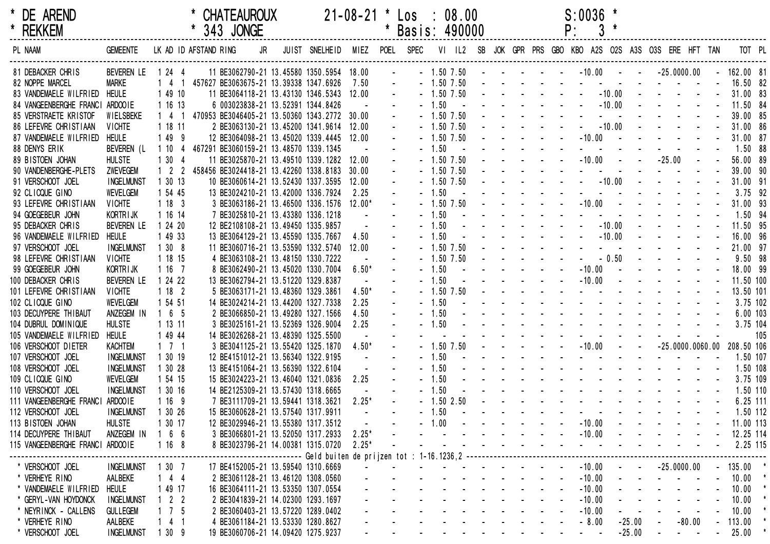| * DE AREND<br>* REKKEM           |                   |                     | * CHATEAUROUX<br>* 343 JONGE                       |    |                               |           |                         | 21-08-21 * Los : 08.00<br>* Basis: 490000                                              |                |                               |  | $S:0036$ *<br>P:           |          |                                                                                                                                                                                                                                   |             |     |
|----------------------------------|-------------------|---------------------|----------------------------------------------------|----|-------------------------------|-----------|-------------------------|----------------------------------------------------------------------------------------|----------------|-------------------------------|--|----------------------------|----------|-----------------------------------------------------------------------------------------------------------------------------------------------------------------------------------------------------------------------------------|-------------|-----|
| PL NAAM                          | <b>GEMEENTE</b>   |                     | LK AD ID AFSTAND RING                              | JR | JUIST SNELHEID MIEZ POEL SPEC |           |                         |                                                                                        | VI IL2         |                               |  |                            |          | SB JOK GPR PRS GBO KBO A2S O2S A3S O3S ERE HFT TAN                                                                                                                                                                                | TOT PL      |     |
| 81 DEBACKER CHRIS                | BEVEREN LE        | 1 24 4              | 11 BE3062790-21 13.45580 1350.5954 18.00           |    |                               |           | $\sim 100$ km s $^{-1}$ |                                                                                        |                |                               |  |                            |          | $-1.50\,7.50$ $    -10.00$ $  -25.0000.00$ $ 162.00$ $81$                                                                                                                                                                         |             |     |
| 82 NOPPE MARCEL                  | <b>MARKE</b>      |                     | 1 4 1 457627 BE3063675-21 13.39338 1347.6926       |    |                               | 7.50      |                         |                                                                                        |                |                               |  |                            |          | - 1.50 7.50 - - - - - - - - - - - - - - - 16.50 82                                                                                                                                                                                |             |     |
| 83 VANDEMAELE WILFRIED           | <b>HEULE</b>      | 1 49 10             | 11 BE3064118-21 13.43130 1346.5343 12.00           |    |                               |           |                         |                                                                                        |                |                               |  |                            |          | $-1.507.50$ $      -10.00$ $     -$ 31.00 83                                                                                                                                                                                      |             |     |
| 84 VANGEENBERGHE FRANCI ARDOOIE  |                   | 1 16 13             | 6 003023838-21 13.52391 1344.8426                  |    |                               | $\sim 10$ |                         |                                                                                        |                |                               |  |                            |          | $-1.50$ $        -10.00$ $    -$                                                                                                                                                                                                  | 11.50 84    |     |
| 85 VERSTRAETE KRISTOF            | WIELSBEKE         |                     | 1 4 1 470953 BE3046405-21 13.50360 1343.2772 30.00 |    |                               |           |                         |                                                                                        | $-1.50$ $7.50$ |                               |  |                            |          | and the second contract of the                                                                                                                                                                                                    | 39.00 85    |     |
| 86 LEFEVRE CHRISTIAAN            | <b>VICHTE</b>     | 1 18 11             | 2 BE3063130-21 13.45200 1341.9614 12.00            |    |                               |           |                         |                                                                                        | $-1.50$ $7.50$ |                               |  |                            |          | $\frac{1}{2}$ . The contract of the contract of the contract of the contract of the contract of the contract of the contract of the contract of the contract of the contract of the contract of the contract of the contract of t | 31.00 86    |     |
| 87 VANDEMAELE WILFRIED           | <b>HEULE</b>      | 1 49 9              | 12 BE3064098-21 13.45020 1339.4445 12.00           |    |                               |           |                         |                                                                                        | $-1.50$ $7.50$ | and the company of the season |  |                            |          | $-10.00$ $     -$                                                                                                                                                                                                                 | 31.00 87    |     |
| 88 DENYS ERIK                    | BEVEREN (L        |                     | 1 10 4 467291 BE3060159-21 13.48570 1339.1345      |    |                               |           |                         |                                                                                        | $-1.50 - -$    |                               |  |                            |          | and the second contract of the                                                                                                                                                                                                    | $1.50$ 88   |     |
| 89 BISTOEN JOHAN                 | <b>HULSTE</b>     | 1304                | 11 BE3025870-21 13.49510 1339.1282 12.00           |    |                               |           |                         |                                                                                        | $-1.50$ $7.50$ |                               |  |                            |          |                                                                                                                                                                                                                                   | 56.00 89    |     |
| 90 VANDENBERGHE-PLETS            | ZWEVEGEM          |                     | 1 2 2 458456 BE3024418-21 13.42260 1338.8183 30.00 |    |                               |           |                         |                                                                                        | $-1.50$ $7.50$ |                               |  |                            |          | the contract of the contract of the contract of                                                                                                                                                                                   | 39.00 90    |     |
| 91 VERSCHOOT JOEL                | <b>INGELMUNST</b> | 1 30 13             | 10 BE3060614-21 13.52430 1337.3595 12.00           |    |                               |           |                         |                                                                                        | $-1.50$ $7.50$ |                               |  |                            |          |                                                                                                                                                                                                                                   | 31.00 91    |     |
| 92 CLICQUE GINO                  | <b>WEVELGEM</b>   | 1 54 45             | 13 BE3024210-21 13.42000 1336.7924                 |    |                               | 2.25      |                         | $-1.50$                                                                                | $\sim 100$     |                               |  |                            |          | the contract of the contract of the contract of the contract of the contract of the contract of the contract of                                                                                                                   | $3.75$ 92   |     |
| 93 LEFEVRE CHRISTIAAN            | <b>VICHTE</b>     | 1183                | 3 BE3063186-21 13.46500 1336.1576 12.00*           |    |                               |           |                         |                                                                                        | $-1.50$ $7.50$ |                               |  |                            |          |                                                                                                                                                                                                                                   | 31.00 93    |     |
| 94 GOEGEBEUR JOHN                | <b>KORTRIJK</b>   | 1 16 14             | 7 BE3025810-21 13.43380 1336.1218                  |    |                               |           |                         | $-1.50$                                                                                |                |                               |  |                            |          | the contract of the contract of the contract of the                                                                                                                                                                               | 1.50 94     |     |
| 95 DEBACKER CHRIS                | BEVEREN LE        | 1 24 20             | 12 BE2108108-21 13.49450 1335.9857                 |    |                               |           |                         | $-1.50$                                                                                |                |                               |  |                            |          |                                                                                                                                                                                                                                   | 11.50 95    |     |
| 96 VANDEMAELE WILFRIED           | <b>HEULE</b>      | 1 49 33             | 13 BE3064129-21 13.45590 1335.7667                 |    |                               | 4.50      |                         | $-1.50$                                                                                |                |                               |  |                            |          |                                                                                                                                                                                                                                   | 16.00 96    |     |
| 97 VERSCHOOT JOEL                | <b>INGELMUNST</b> | 1308                | 11 BE3060716-21 13.53590 1332.5740 12.00           |    |                               |           |                         |                                                                                        | $-1.50$ $7.50$ |                               |  |                            |          | and the state of the state of the state of the                                                                                                                                                                                    | 21.00 97    |     |
| 98 LEFEVRE CHRISTIAAN            | <b>VICHTE</b>     | 1 18 15             | 4 BE3063108-21 13.48150 1330.7222                  |    |                               |           |                         |                                                                                        | $-1.50$ $7.50$ |                               |  |                            |          | $ -$ 0.50 $    -$                                                                                                                                                                                                                 | $9.50$ $98$ |     |
| 99 GOEGEBEUR JOHN                | KORTRIJK          | 1167                | 8 BE3062490-21 13.45020 1330.7004                  |    |                               | $6.50*$   |                         |                                                                                        |                | $-1.50$ $    -$               |  |                            |          | $-10.00$ $     -$                                                                                                                                                                                                                 | 18.00 99    |     |
| 100 DEBACKER CHRIS               | BEVEREN LE        | 1 24 22             | 13 BE3062794-21 13.51220 1329.8387                 |    |                               |           |                         | $-1.50$                                                                                |                |                               |  |                            |          | $-10.00$ $     -$                                                                                                                                                                                                                 | 11.50 100   |     |
| 101 LEFEVRE CHRISTIAAN           | <b>VICHTE</b>     | 1182                | 5 BE3063171-21 13.48360 1329.3861                  |    |                               | $4.50*$   |                         |                                                                                        | $-1.50$ $7.50$ |                               |  |                            |          | the contract of the contract of the contract of                                                                                                                                                                                   | 13.50 101   |     |
| 102 CLICQUE GINO                 | <b>WEVELGEM</b>   | 1 54 51             | 14 BE3024214-21 13.44200 1327.7338                 |    |                               | 2.25      |                         | $-1.50$                                                                                |                |                               |  |                            |          | the contract of the contract of the contract of                                                                                                                                                                                   | 3.75 102    |     |
| 103 DECUYPERE THIBAUT            | ANZEGEM IN        | 1 6 5               | 2 BE3066850-21 13.49280 1327.1566                  |    |                               | 4.50      |                         | $-1.50$                                                                                |                |                               |  |                            |          | the contract of the contract of the contract of the contract of the contract of the contract of the contract of the contract of the contract of the contract of the contract of the contract of the contract of the contract o    | 6.00 103    |     |
| 104 DUBRUL DOMINIQUE             | <b>HULSTE</b>     | 1 13 11             | 3 BE3025161-21 13.52369 1326.9004                  |    |                               | 2.25      |                         | $-1.50$                                                                                |                |                               |  |                            |          | the second contract of the second contract of                                                                                                                                                                                     | 3.75 104    |     |
| 105 VANDEMAELE WILFRIED          | <b>HEULE</b>      | 1 49 44             | 14 BE3026268-21 13.48390 1325.5500                 |    |                               |           |                         |                                                                                        |                |                               |  |                            |          | the contract of the contract of the contract of                                                                                                                                                                                   |             | 105 |
| 106 VERSCHOOT DIETER             | <b>KACHTEM</b>    | $1 \quad 7 \quad 1$ | 3 BE3041125-21 13.55420 1325.1870                  |    |                               | $4.50*$   |                         |                                                                                        | $-1.50$ $7.50$ |                               |  |                            |          | $      10.00$ $   25.0000.0060.00$ 208.50 106                                                                                                                                                                                     |             |     |
| 107 VERSCHOOT JOEL               | <b>INGELMUNST</b> | 1 30 19             | 12 BE4151012-21 13.56340 1322.9195                 |    |                               |           |                         | $-1.50$                                                                                |                |                               |  |                            |          | the contract of the contract of the contract of                                                                                                                                                                                   | 1.50 107    |     |
| 108 VERSCHOOT JOEL               | <b>INGELMUNST</b> | 1 30 28             | 13 BE4151064-21 13.56390 1322.6104                 |    |                               |           |                         | $-1.50$                                                                                |                |                               |  |                            |          | the contract of the contract of the contract of                                                                                                                                                                                   | 1.50 108    |     |
| 109 CLICQUE GINO                 | <b>WEVELGEM</b>   | 1 54 15             | 15 BE3024223-21 13.46040 1321.0836                 |    |                               | 2.25      |                         | $-1.50$                                                                                |                |                               |  |                            |          | the contract of the contract of the contract of                                                                                                                                                                                   | 3.75 109    |     |
| 110 VERSCHOOT JOEL               | <b>INGELMUNST</b> | 1 30 16             | 14 BE2125309-21 13.57430 1318.6665                 |    |                               |           |                         | $-1.50$                                                                                |                |                               |  |                            |          | the second contract of the second contract of                                                                                                                                                                                     | 1.50 110    |     |
| 111 VANGEENBERGHE FRANCI         | ARDOO1E           | 1 16 9              | 7 BE3111709-21 13.59441 1318.3621                  |    |                               | $2.25*$   |                         |                                                                                        |                |                               |  |                            |          |                                                                                                                                                                                                                                   | $6.25$ 111  |     |
| 112 VERSCHOOT JOEL               | <b>INGELMUNST</b> | 1 30 26             | 15 BE3060628-21 13.57540 1317.9911                 |    |                               |           |                         | $-1.50$                                                                                |                |                               |  |                            |          | the second contract of the second contract of the second contract of the second contract of the second contract of the second contract of the second contract of the second contract of the second contract of the second cont    | 1.50 112    |     |
| 113 BISTOEN JOHAN                | <b>HULSTE</b>     | 30 17               | 12 BE3029946-21 13.55380 1317.3512                 |    |                               |           |                         | $-1.00$                                                                                |                |                               |  | $-10.00$                   |          |                                                                                                                                                                                                                                   | 11.00 113   |     |
| 114 DECUYPERE THIBAUT            | ANZEGEM IN        | 66<br>-1            | 3 BE3066801-21 13.52050 1317.2933                  |    |                               | $2.25*$   |                         |                                                                                        |                |                               |  | $-10.00$                   |          |                                                                                                                                                                                                                                   | 12.25 114   |     |
| 115 VANGEENBERGHE FRANCI ARDOOIE |                   | 1168                | 8 BE3023796-21 14.00381 1315.0720                  |    |                               | $2.25*$   |                         |                                                                                        |                |                               |  | $\Delta \sim 100$          |          |                                                                                                                                                                                                                                   | 2.25 115    |     |
|                                  |                   |                     |                                                    |    |                               |           |                         | ------------------- Geld buiten de prijzen tot : 1-16.1236,2 ------------------------- |                |                               |  |                            |          |                                                                                                                                                                                                                                   |             |     |
| * VERSCHOOT JOEL                 | <b>INGELMUNST</b> | 1 30 7              | 17 BE4152005-21 13.59540 1310.6669                 |    |                               |           |                         |                                                                                        |                |                               |  | $-10.00$                   |          | $-25.0000.00$                                                                                                                                                                                                                     | $-135.00$ * |     |
| * VERHEYE RINO                   | AALBEKE           | $4\quad 4$          | 2 BE3061128-21 13.46120 1308.0560                  |    |                               |           |                         |                                                                                        |                |                               |  | $-10.00$                   |          |                                                                                                                                                                                                                                   | $10.00$ *   |     |
| * VANDEMAELE WILFRIED            | <b>HEULE</b>      | 49 17               | 16 BE3064111-21 13.53350 1307.0554                 |    |                               |           |                         |                                                                                        |                |                               |  | $-10.00$                   |          |                                                                                                                                                                                                                                   | 10.00       |     |
| * GERYL-VAN HOYDONCK             | <b>INGELMUNST</b> | 2 <sub>2</sub>      | 2 BE3041839-21 14.02300 1293.1697                  |    |                               |           |                         |                                                                                        |                |                               |  | $-10.00$                   |          |                                                                                                                                                                                                                                   | 10.00       |     |
| * NEYRINCK - CALLENS             | <b>GULLEGEM</b>   | 7 5                 | 2 BE3060403-21 13.57220 1289.0402                  |    |                               |           |                         |                                                                                        |                |                               |  | $-10.00$                   |          |                                                                                                                                                                                                                                   | 10.00       |     |
| * VERHEYE RINO                   | AALBEKE           | 4 1                 | 4 BE3061184-21 13.53330 1280.8627                  |    |                               |           |                         |                                                                                        |                |                               |  | $-8.00$                    | $-25.00$ | $-80.00$                                                                                                                                                                                                                          | 113.00      |     |
| * VERSCHOOT JOEL                 | <b>INGELMUNST</b> | 1309                | 19 BE3060706-21 14.09420 1275.9237                 |    |                               |           |                         |                                                                                        |                |                               |  | $\sim$<br>$\sim$ 100 $\pm$ | $-25.00$ | $\sim$                                                                                                                                                                                                                            | 25.00       |     |
|                                  |                   |                     |                                                    |    |                               |           |                         |                                                                                        |                |                               |  |                            |          |                                                                                                                                                                                                                                   |             |     |